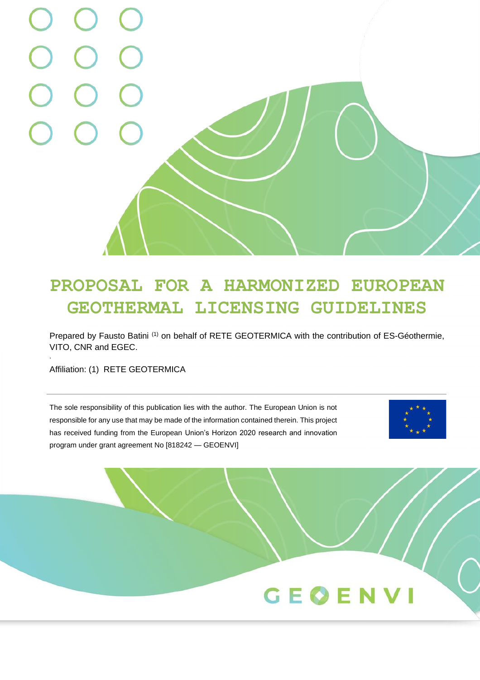# **PROPOSAL FOR A HARMONIZED EUROPEAN GEOTHERMAL LICENSING GUIDELINES**

Prepared by Fausto Batini<sup>(1)</sup> on behalf of RETE GEOTERMICA with the contribution of ES-Géothermie, VITO, CNR and EGEC.

Affiliation: (1) RETE GEOTERMICA

,

The sole responsibility of this publication lies with the author. The European Union is not responsible for any use that may be made of the information contained therein. This project has received funding from the European Union's Horizon 2020 research and innovation program under grant agreement No [818242 — GEOENVI]



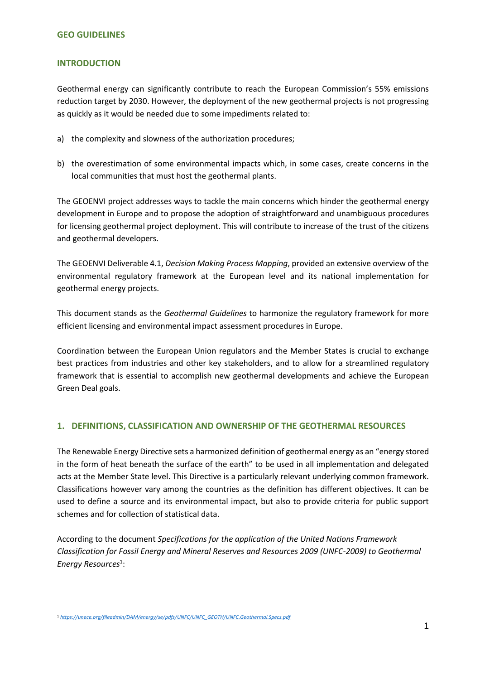#### **INTRODUCTION**

Geothermal energy can significantly contribute to reach the European Commission's 55% emissions reduction target by 2030. However, the deployment of the new geothermal projects is not progressing as quickly as it would be needed due to some impediments related to:

- a) the complexity and slowness of the authorization procedures;
- b) the overestimation of some environmental impacts which, in some cases, create concerns in the local communities that must host the geothermal plants.

The GEOENVI project addresses ways to tackle the main concerns which hinder the geothermal energy development in Europe and to propose the adoption of straightforward and unambiguous procedures for licensing geothermal project deployment. This will contribute to increase of the trust of the citizens and geothermal developers.

The GEOENVI Deliverable 4.1, *Decision Making Process Mapping*, provided an extensive overview of the environmental regulatory framework at the European level and its national implementation for geothermal energy projects.

This document stands as the *Geothermal Guidelines* to harmonize the regulatory framework for more efficient licensing and environmental impact assessment procedures in Europe.

Coordination between the European Union regulators and the Member States is crucial to exchange best practices from industries and other key stakeholders, and to allow for a streamlined regulatory framework that is essential to accomplish new geothermal developments and achieve the European Green Deal goals.

### **1. DEFINITIONS, CLASSIFICATION AND OWNERSHIP OF THE GEOTHERMAL RESOURCES**

The Renewable Energy Directive sets a harmonized definition of geothermal energy as an "energy stored in the form of heat beneath the surface of the earth" to be used in all implementation and delegated acts at the Member State level. This Directive is a particularly relevant underlying common framework. Classifications however vary among the countries as the definition has different objectives. It can be used to define a source and its environmental impact, but also to provide criteria for public support schemes and for collection of statistical data.

According to the document *Specifications for the application of the United Nations Framework Classification for Fossil Energy and Mineral Reserves and Resources 2009 (UNFC-2009) to Geothermal Energy Resources*<sup>1</sup> :

<sup>1</sup> *[https://unece.org/fileadmin/DAM/energy/se/pdfs/UNFC/UNFC\\_GEOTH/UNFC.Geothermal.Specs.pdf](https://unece.org/fileadmin/DAM/energy/se/pdfs/UNFC/UNFC_GEOTH/UNFC.Geothermal.Specs.pdf)*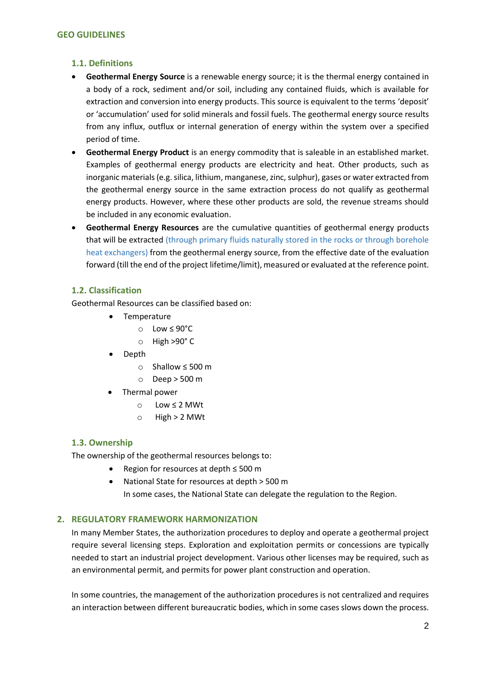## **1.1. Definitions**

- **Geothermal Energy Source** is a renewable energy source; it is the thermal energy contained in a body of a rock, sediment and/or soil, including any contained fluids, which is available for extraction and conversion into energy products. This source is equivalent to the terms 'deposit' or 'accumulation' used for solid minerals and fossil fuels. The geothermal energy source results from any influx, outflux or internal generation of energy within the system over a specified period of time.
- **Geothermal Energy Product** is an energy commodity that is saleable in an established market. Examples of geothermal energy products are electricity and heat. Other products, such as inorganic materials (e.g. silica, lithium, manganese, zinc, sulphur), gases or water extracted from the geothermal energy source in the same extraction process do not qualify as geothermal energy products. However, where these other products are sold, the revenue streams should be included in any economic evaluation.
- **Geothermal Energy Resources** are the cumulative quantities of geothermal energy products that will be extracted (through primary fluids naturally stored in the rocks or through borehole heat exchangers) from the geothermal energy source, from the effective date of the evaluation forward (till the end of the project lifetime/limit), measured or evaluated at the reference point.

# **1.2. Classification**

Geothermal Resources can be classified based on:

- Temperature
	- o Low ≤ 90°C
	- o High >90° C
- Depth
	- o Shallow ≤ 500 m
	- o Deep > 500 m
	- Thermal power
		- o Low ≤ 2 MWt
		- $\circ$  High > 2 MWt

### **1.3. Ownership**

The ownership of the geothermal resources belongs to:

- Region for resources at depth ≤ 500 m
- National State for resources at depth > 500 m In some cases, the National State can delegate the regulation to the Region.

# **2. REGULATORY FRAMEWORK HARMONIZATION**

In many Member States, the authorization procedures to deploy and operate a geothermal project require several licensing steps. Exploration and exploitation permits or concessions are typically needed to start an industrial project development. Various other licenses may be required, such as an environmental permit, and permits for power plant construction and operation.

In some countries, the management of the authorization procedures is not centralized and requires an interaction between different bureaucratic bodies, which in some cases slows down the process.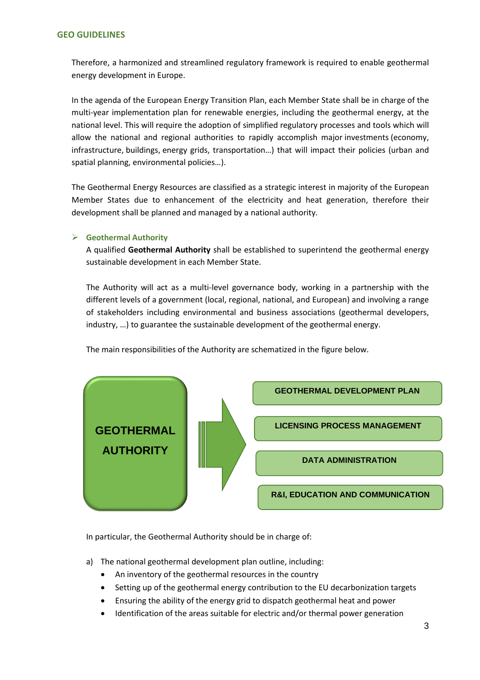Therefore, a harmonized and streamlined regulatory framework is required to enable geothermal energy development in Europe.

In the agenda of the European [Energy Transition](https://www.legifrance.gouv.fr/affichTexte.do?cidTexte=JORFTEXT000031044385&dateTexte=&categorieLien=id) Plan, each Member State shall be in charge of the multi-year implementation plan for renewable energies, including the geothermal energy, at the national level. This will require the adoption of simplified regulatory processes and tools which will allow the national and regional authorities to rapidly accomplish major investments (economy, infrastructure, buildings, energy grids, transportation…) that will impact their policies (urban and spatial planning, environmental policies…).

The Geothermal Energy Resources are classified as a strategic interest in majority of the European Member States due to enhancement of the electricity and heat generation, therefore their development shall be planned and managed by a national authority.

### ➢ **Geothermal Authority**

A qualified **Geothermal Authority** shall be established to superintend the geothermal energy sustainable development in each Member State.

The Authority will act as a multi-level governance body, working in a partnership with the different levels of a government (local, regional, national, and European) and involving a range of stakeholders including environmental and business associations (geothermal developers, industry, …) to guarantee the sustainable development of the geothermal energy.





In particular, the Geothermal Authority should be in charge of:

- a) The national geothermal development plan outline, including:
	- An inventory of the geothermal resources in the country
	- Setting up of the geothermal energy contribution to the EU decarbonization targets
	- Ensuring the ability of the energy grid to dispatch geothermal heat and power
	- Identification of the areas suitable for electric and/or thermal power generation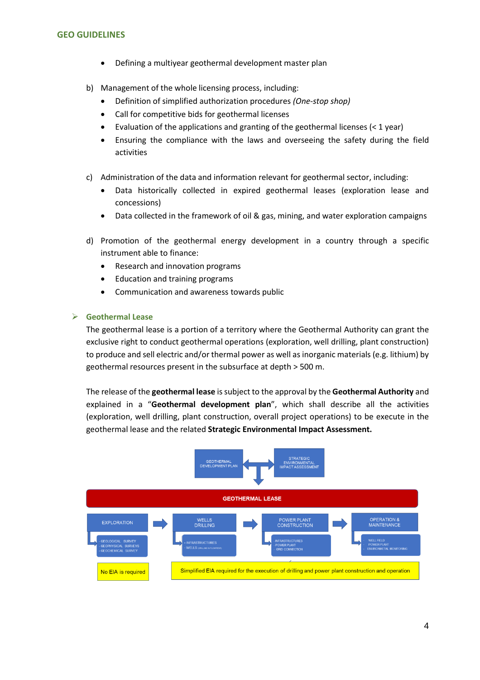- Defining a multiyear geothermal development master plan
- b) Management of the whole licensing process, including:
	- Definition of simplified authorization procedures *(One-stop shop)*
	- Call for competitive bids for geothermal licenses
	- Evaluation of the applications and granting of the geothermal licenses (< 1 year)
	- Ensuring the compliance with the laws and overseeing the safety during the field activities
- c) Administration of the data and information relevant for geothermal sector, including:
	- Data historically collected in expired geothermal leases (exploration lease and concessions)
	- Data collected in the framework of oil & gas, mining, and water exploration campaigns
- d) Promotion of the geothermal energy development in a country through a specific instrument able to finance:
	- Research and innovation programs
	- Education and training programs
	- Communication and awareness towards public

## ➢ **Geothermal Lease**

The geothermal lease is a portion of a territory where the Geothermal Authority can grant the exclusive right to conduct geothermal operations (exploration, well drilling, plant construction) to produce and sell electric and/or thermal power as well as inorganic materials (e.g. lithium) by geothermal resources present in the subsurface at depth > 500 m.

The release of the **geothermal lease** is subject to the approval by the **Geothermal Authority** and explained in a "**Geothermal development plan**", which shall describe all the activities (exploration, well drilling, plant construction, overall project operations) to be execute in the geothermal lease and the related **Strategic Environmental Impact Assessment.**

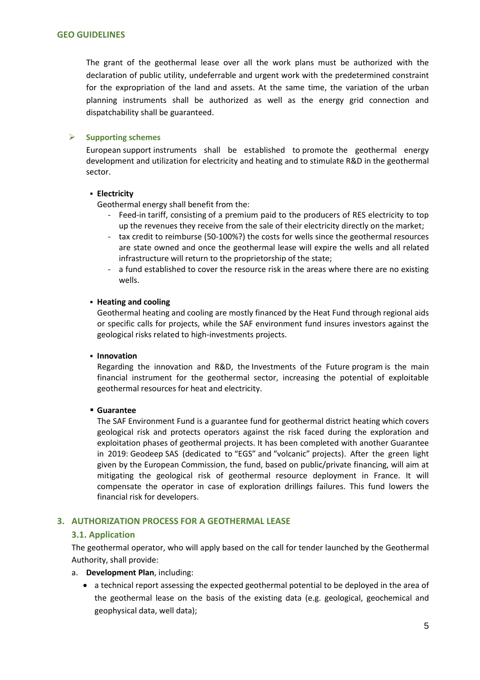The grant of the geothermal lease over all the work plans must be authorized with the declaration of public utility, undeferrable and urgent work with the predetermined constraint for the expropriation of the land and assets. At the same time, the variation of the urban planning instruments shall be authorized as well as the energy grid connection and dispatchability shall be guaranteed.

### ➢ **Supporting schemes**

European support instruments shall be established to promote the geothermal energy development and utilization for electricity and heating and to stimulate R&D in the geothermal sector.

#### ▪ **Electricity**

Geothermal energy shall benefit from the:

- Feed-in tariff, consisting of a premium paid to the producers of RES electricity to top up the revenues they receive from the sale of their electricity directly on the market;
- tax credit to reimburse (50-100%?) the costs for wells since the geothermal resources are state owned and once the geothermal lease will expire the wells and all related infrastructure will return to the proprietorship of the state;
- a fund established to cover the resource risk in the areas where there are no existing wells.

#### ▪ **Heating and cooling**

Geothermal heating and cooling are mostly financed by the Heat Fund through regional aids or specific calls for projects, while the SAF environment fund insures investors against the geological risks related to high-investments projects.

### ▪ **Innovation**

Regarding the innovation and R&D, the [Investments of](https://www.caissedesdepots.fr/en/investments-future) the Future program is the main financial instrument for the geothermal sector, increasing the potential of exploitable geothermal resources for heat and electricity.

### ▪ **Guarantee**

The SAF Environment Fund is a guarantee fund for geothermal district heating which covers geological risk and protects operators against the risk faced during the exploration and exploitation phases of geothermal projects. It has been completed with another Guarantee in 2019: Geodeep SAS (dedicated to "EGS" and "volcanic" projects). After the green light given by the European Commission, the fund, based on public/private financing, will aim at mitigating the geological risk of geothermal resource deployment in France. It will compensate the operator in case of exploration drillings failures. This fund lowers the financial risk for developers.

### **3. AUTHORIZATION PROCESS FOR A GEOTHERMAL LEASE**

### **3.1. Application**

The geothermal operator, who will apply based on the call for tender launched by the Geothermal Authority, shall provide:

- a. **Development Plan**, including:
	- a technical report assessing the expected geothermal potential to be deployed in the area of the geothermal lease on the basis of the existing data (e.g. geological, geochemical and geophysical data, well data);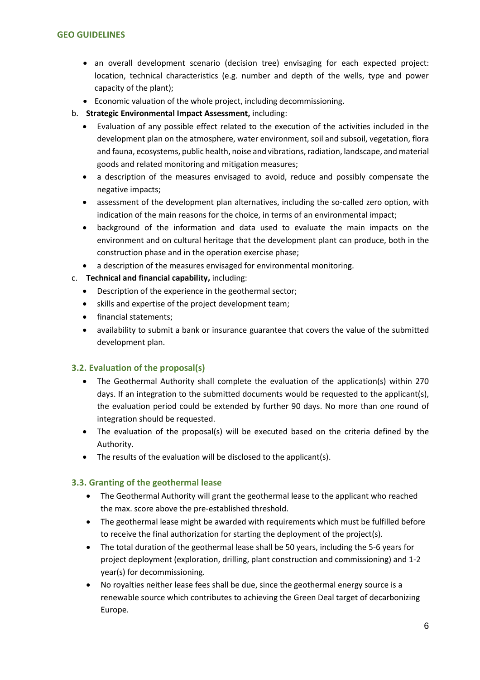- an overall development scenario (decision tree) envisaging for each expected project: location, technical characteristics (e.g. number and depth of the wells, type and power capacity of the plant);
- Economic valuation of the whole project, including decommissioning.
- b. **Strategic Environmental Impact Assessment,** including:
	- Evaluation of any possible effect related to the execution of the activities included in the development plan on the atmosphere, water environment, soil and subsoil, vegetation, flora and fauna, ecosystems, public health, noise and vibrations, radiation, landscape, and material goods and related monitoring and mitigation measures;
	- a description of the measures envisaged to avoid, reduce and possibly compensate the negative impacts;
	- assessment of the development plan alternatives, including the so-called zero option, with indication of the main reasons for the choice, in terms of an environmental impact;
	- background of the information and data used to evaluate the main impacts on the environment and on cultural heritage that the development plant can produce, both in the construction phase and in the operation exercise phase;
	- a description of the measures envisaged for environmental monitoring.
- c. **Technical and financial capability,** including:
	- Description of the experience in the geothermal sector;
	- skills and expertise of the project development team;
	- financial statements;
	- availability to submit a bank or insurance guarantee that covers the value of the submitted development plan.

# **3.2. Evaluation of the proposal(s)**

- The Geothermal Authority shall complete the evaluation of the application(s) within 270 days. If an integration to the submitted documents would be requested to the applicant(s), the evaluation period could be extended by further 90 days. No more than one round of integration should be requested.
- The evaluation of the proposal(s) will be executed based on the criteria defined by the Authority.
- The results of the evaluation will be disclosed to the applicant(s).

# **3.3. Granting of the geothermal lease**

- The Geothermal Authority will grant the geothermal lease to the applicant who reached the max. score above the pre-established threshold.
- The geothermal lease might be awarded with requirements which must be fulfilled before to receive the final authorization for starting the deployment of the project(s).
- The total duration of the geothermal lease shall be 50 years, including the 5-6 years for project deployment (exploration, drilling, plant construction and commissioning) and 1-2 year(s) for decommissioning.
- No royalties neither lease fees shall be due, since the geothermal energy source is a renewable source which contributes to achieving the Green Deal target of decarbonizing Europe.